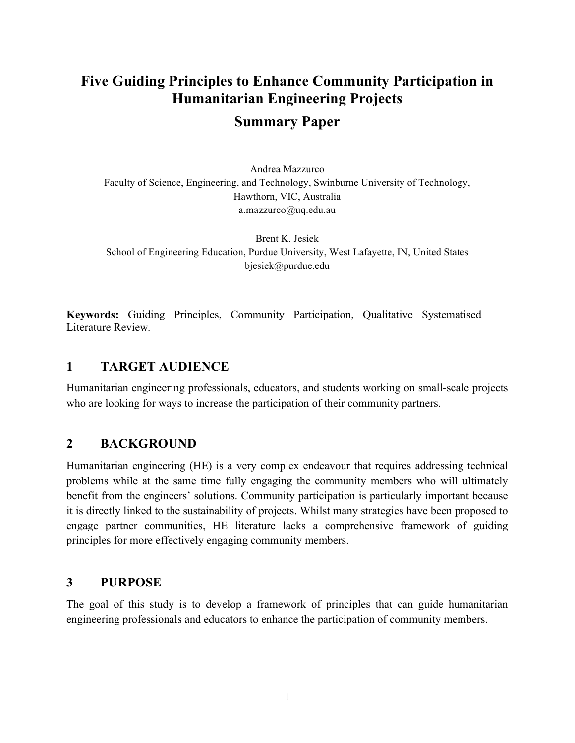# **Five Guiding Principles to Enhance Community Participation in Humanitarian Engineering Projects**

### **Summary Paper**

Andrea Mazzurco Faculty of Science, Engineering, and Technology, Swinburne University of Technology, Hawthorn, VIC, Australia a.mazzurco@uq.edu.au

Brent K. Jesiek School of Engineering Education, Purdue University, West Lafayette, IN, United States bjesiek@purdue.edu

**Keywords:** Guiding Principles, Community Participation, Qualitative Systematised Literature Review*.*

#### **1 TARGET AUDIENCE**

Humanitarian engineering professionals, educators, and students working on small-scale projects who are looking for ways to increase the participation of their community partners.

#### **2 BACKGROUND**

Humanitarian engineering (HE) is a very complex endeavour that requires addressing technical problems while at the same time fully engaging the community members who will ultimately benefit from the engineers' solutions. Community participation is particularly important because it is directly linked to the sustainability of projects. Whilst many strategies have been proposed to engage partner communities, HE literature lacks a comprehensive framework of guiding principles for more effectively engaging community members.

#### **3 PURPOSE**

The goal of this study is to develop a framework of principles that can guide humanitarian engineering professionals and educators to enhance the participation of community members.